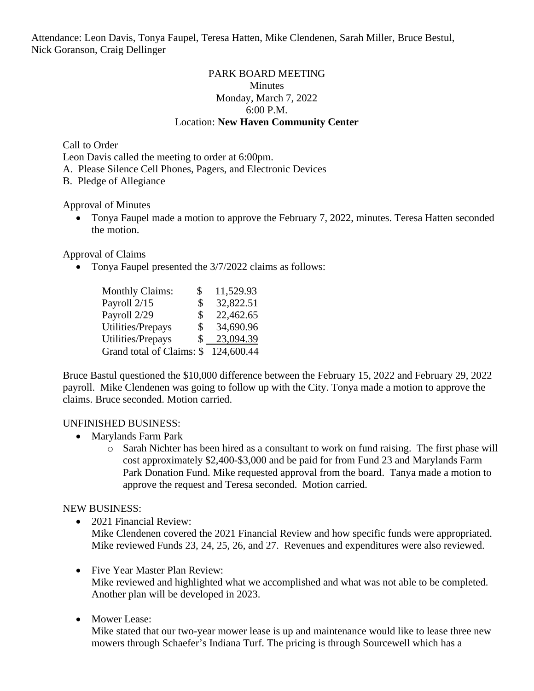Attendance: Leon Davis, Tonya Faupel, Teresa Hatten, Mike Clendenen, Sarah Miller, Bruce Bestul, Nick Goranson, Craig Dellinger

## PARK BOARD MEETING **Minutes** Monday, March 7, 2022 6:00 P.M. Location: **New Haven Community Center**

Call to Order

Leon Davis called the meeting to order at 6:00pm.

A. Please Silence Cell Phones, Pagers, and Electronic Devices

B. Pledge of Allegiance

Approval of Minutes

• Tonya Faupel made a motion to approve the February 7, 2022, minutes. Teresa Hatten seconded the motion.

Approval of Claims

• Tonya Faupel presented the 3/7/2022 claims as follows:

| <b>Monthly Claims:</b>    | S  | 11,529.93  |
|---------------------------|----|------------|
| Payroll 2/15              | \$ | 32,822.51  |
| Payroll 2/29              | \$ | 22,462.65  |
| Utilities/Prepays         | \$ | 34,690.96  |
| Utilities/Prepays         | S  | 23,094.39  |
| Grand total of Claims: \$ |    | 124,600.44 |

Bruce Bastul questioned the \$10,000 difference between the February 15, 2022 and February 29, 2022 payroll. Mike Clendenen was going to follow up with the City. Tonya made a motion to approve the claims. Bruce seconded. Motion carried.

#### UNFINISHED BUSINESS:

- Marylands Farm Park
	- o Sarah Nichter has been hired as a consultant to work on fund raising. The first phase will cost approximately \$2,400-\$3,000 and be paid for from Fund 23 and Marylands Farm Park Donation Fund. Mike requested approval from the board. Tanya made a motion to approve the request and Teresa seconded. Motion carried.

#### NEW BUSINESS:

• 2021 Financial Review:

Mike Clendenen covered the 2021 Financial Review and how specific funds were appropriated. Mike reviewed Funds 23, 24, 25, 26, and 27. Revenues and expenditures were also reviewed.

• Five Year Master Plan Review:

Mike reviewed and highlighted what we accomplished and what was not able to be completed. Another plan will be developed in 2023.

• Mower Lease:

Mike stated that our two-year mower lease is up and maintenance would like to lease three new mowers through Schaefer's Indiana Turf. The pricing is through Sourcewell which has a